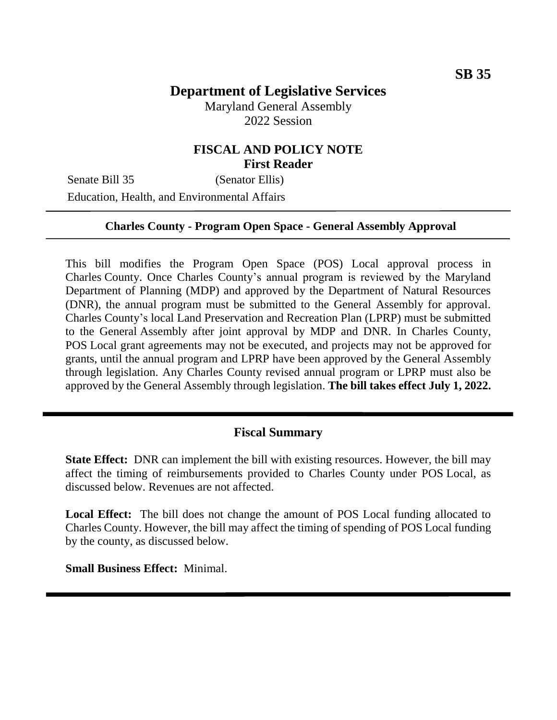Maryland General Assembly 2022 Session

## **FISCAL AND POLICY NOTE First Reader**

Senate Bill 35 (Senator Ellis) Education, Health, and Environmental Affairs

#### **Charles County - Program Open Space - General Assembly Approval**

This bill modifies the Program Open Space (POS) Local approval process in Charles County. Once Charles County's annual program is reviewed by the Maryland Department of Planning (MDP) and approved by the Department of Natural Resources (DNR), the annual program must be submitted to the General Assembly for approval. Charles County's local Land Preservation and Recreation Plan (LPRP) must be submitted to the General Assembly after joint approval by MDP and DNR. In Charles County, POS Local grant agreements may not be executed, and projects may not be approved for grants, until the annual program and LPRP have been approved by the General Assembly through legislation. Any Charles County revised annual program or LPRP must also be approved by the General Assembly through legislation. **The bill takes effect July 1, 2022.**

### **Fiscal Summary**

**State Effect:** DNR can implement the bill with existing resources. However, the bill may affect the timing of reimbursements provided to Charles County under POS Local, as discussed below. Revenues are not affected.

**Local Effect:** The bill does not change the amount of POS Local funding allocated to Charles County. However, the bill may affect the timing of spending of POS Local funding by the county, as discussed below.

**Small Business Effect:** Minimal.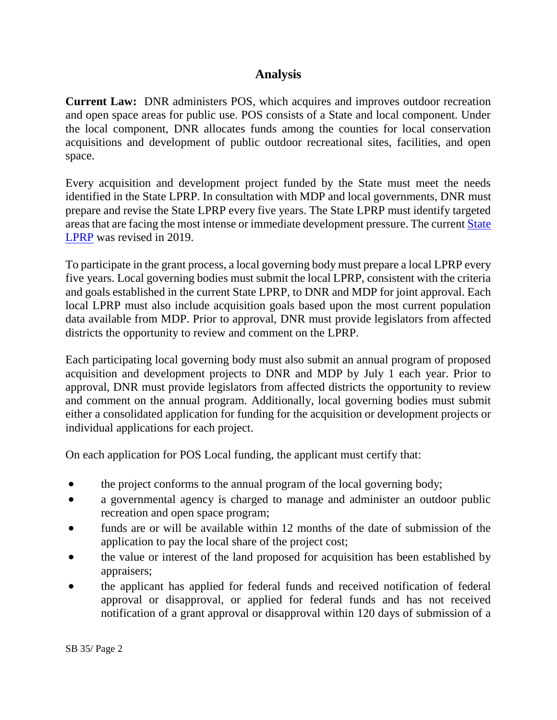## **Analysis**

**Current Law:** DNR administers POS, which acquires and improves outdoor recreation and open space areas for public use. POS consists of a State and local component. Under the local component, DNR allocates funds among the counties for local conservation acquisitions and development of public outdoor recreational sites, facilities, and open space.

Every acquisition and development project funded by the State must meet the needs identified in the State LPRP. In consultation with MDP and local governments, DNR must prepare and revise the State LPRP every five years. The State LPRP must identify targeted areas that are facing the most intense or immediate development pressure. The current [State](https://dnr.maryland.gov/land/Documents/LPRP_2019-2023/2019-2023_Maryland-LPRP.pdf)  [LPRP](https://dnr.maryland.gov/land/Documents/LPRP_2019-2023/2019-2023_Maryland-LPRP.pdf) was revised in 2019.

To participate in the grant process, a local governing body must prepare a local LPRP every five years. Local governing bodies must submit the local LPRP, consistent with the criteria and goals established in the current State LPRP, to DNR and MDP for joint approval. Each local LPRP must also include acquisition goals based upon the most current population data available from MDP. Prior to approval, DNR must provide legislators from affected districts the opportunity to review and comment on the LPRP.

Each participating local governing body must also submit an annual program of proposed acquisition and development projects to DNR and MDP by July 1 each year. Prior to approval, DNR must provide legislators from affected districts the opportunity to review and comment on the annual program. Additionally, local governing bodies must submit either a consolidated application for funding for the acquisition or development projects or individual applications for each project.

On each application for POS Local funding, the applicant must certify that:

- the project conforms to the annual program of the local governing body;
- a governmental agency is charged to manage and administer an outdoor public recreation and open space program;
- funds are or will be available within 12 months of the date of submission of the application to pay the local share of the project cost;
- the value or interest of the land proposed for acquisition has been established by appraisers;
- the applicant has applied for federal funds and received notification of federal approval or disapproval, or applied for federal funds and has not received notification of a grant approval or disapproval within 120 days of submission of a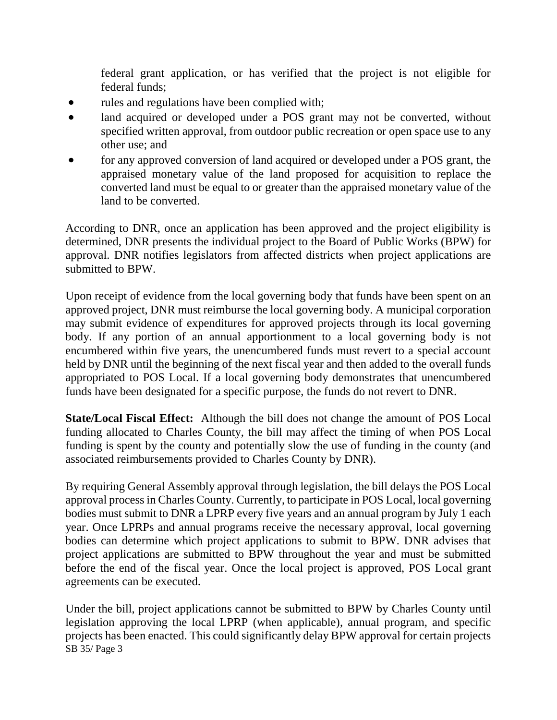federal grant application, or has verified that the project is not eligible for federal funds;

- rules and regulations have been complied with;
- land acquired or developed under a POS grant may not be converted, without specified written approval, from outdoor public recreation or open space use to any other use; and
- for any approved conversion of land acquired or developed under a POS grant, the appraised monetary value of the land proposed for acquisition to replace the converted land must be equal to or greater than the appraised monetary value of the land to be converted.

According to DNR, once an application has been approved and the project eligibility is determined, DNR presents the individual project to the Board of Public Works (BPW) for approval. DNR notifies legislators from affected districts when project applications are submitted to BPW.

Upon receipt of evidence from the local governing body that funds have been spent on an approved project, DNR must reimburse the local governing body. A municipal corporation may submit evidence of expenditures for approved projects through its local governing body. If any portion of an annual apportionment to a local governing body is not encumbered within five years, the unencumbered funds must revert to a special account held by DNR until the beginning of the next fiscal year and then added to the overall funds appropriated to POS Local. If a local governing body demonstrates that unencumbered funds have been designated for a specific purpose, the funds do not revert to DNR.

**State/Local Fiscal Effect:** Although the bill does not change the amount of POS Local funding allocated to Charles County, the bill may affect the timing of when POS Local funding is spent by the county and potentially slow the use of funding in the county (and associated reimbursements provided to Charles County by DNR).

By requiring General Assembly approval through legislation, the bill delays the POS Local approval processin Charles County. Currently, to participate in POS Local, local governing bodies must submit to DNR a LPRP every five years and an annual program by July 1 each year. Once LPRPs and annual programs receive the necessary approval, local governing bodies can determine which project applications to submit to BPW. DNR advises that project applications are submitted to BPW throughout the year and must be submitted before the end of the fiscal year. Once the local project is approved, POS Local grant agreements can be executed.

SB 35/ Page 3 Under the bill, project applications cannot be submitted to BPW by Charles County until legislation approving the local LPRP (when applicable), annual program, and specific projects has been enacted. This could significantly delay BPW approval for certain projects